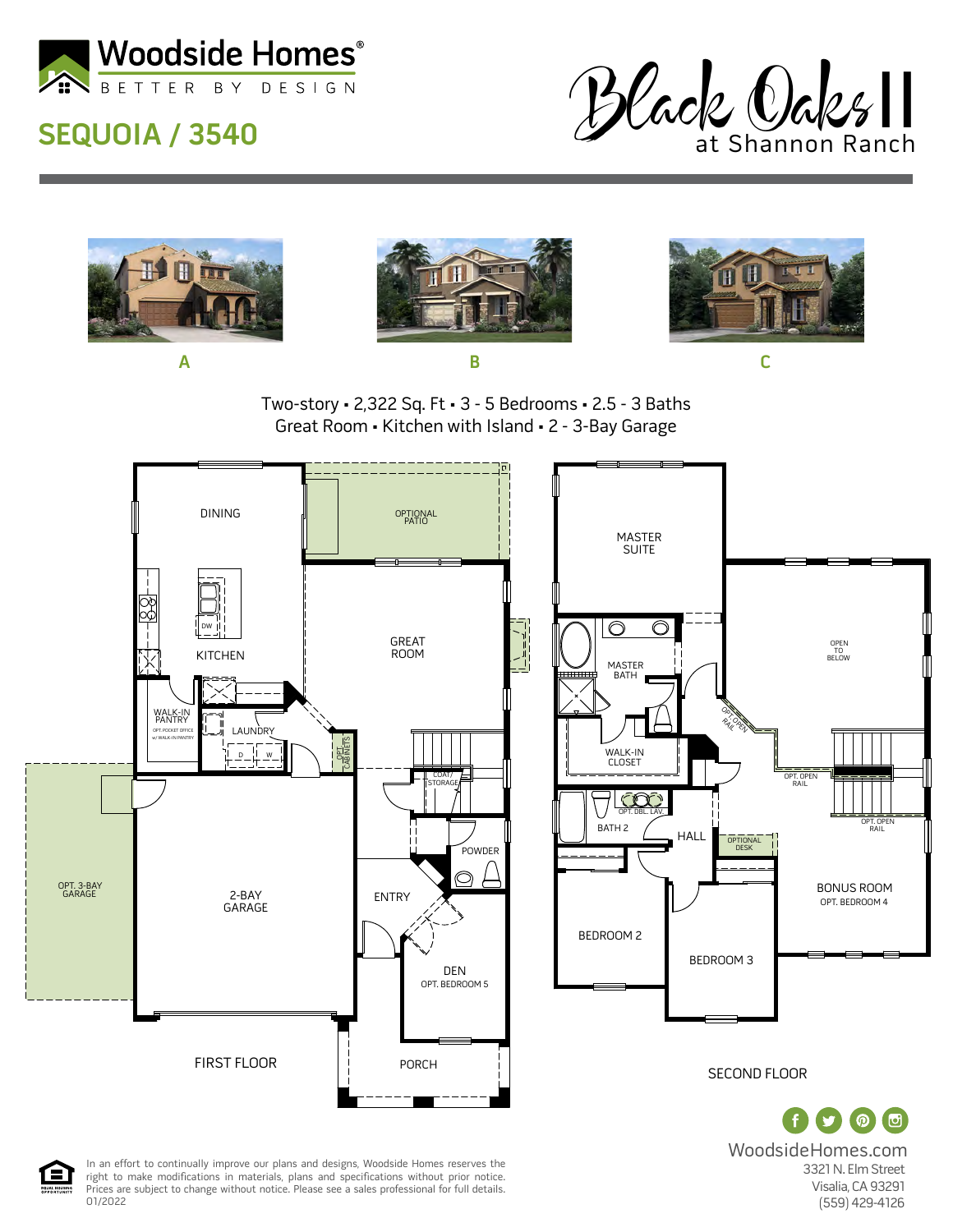

## **SEQUOIA / 3540**





WoodsideHomes.com 3321 N. Elm Street Visalia, CA 93291 (559) 429-4126

 OPEN TO BELOW

BONUS ROOM

OPT. BEDROOM 4

OPT. OPEN RAIL

内

In an effort to continually improve our plans and designs, Woodside Homes reserves the right to make modifications in materials, plans and specifications without prior notice. Prices are subject to change without notice. Please see a sales professional for full details. 01/2022

合